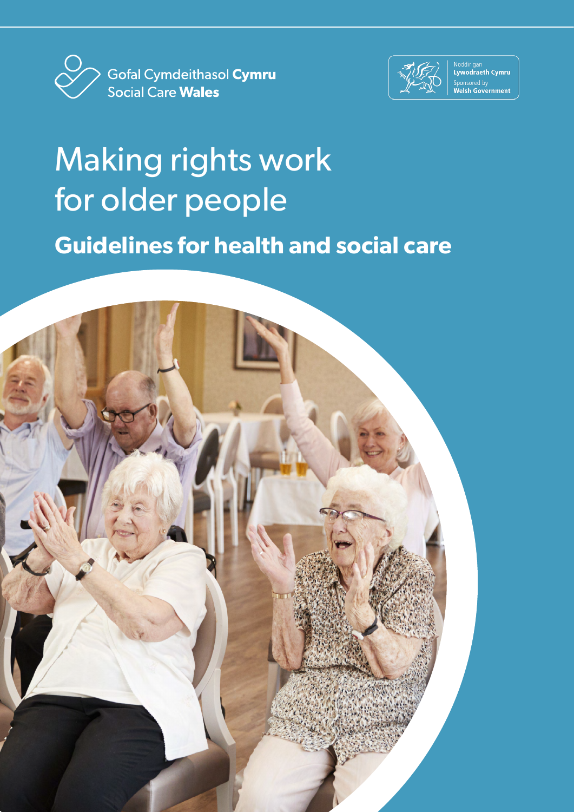



Noddir gan<br>Lywodraeth Cymru Sponsored by<br>**Welsh Government** 

## Making rights work for older people **Guidelines for health and social care**

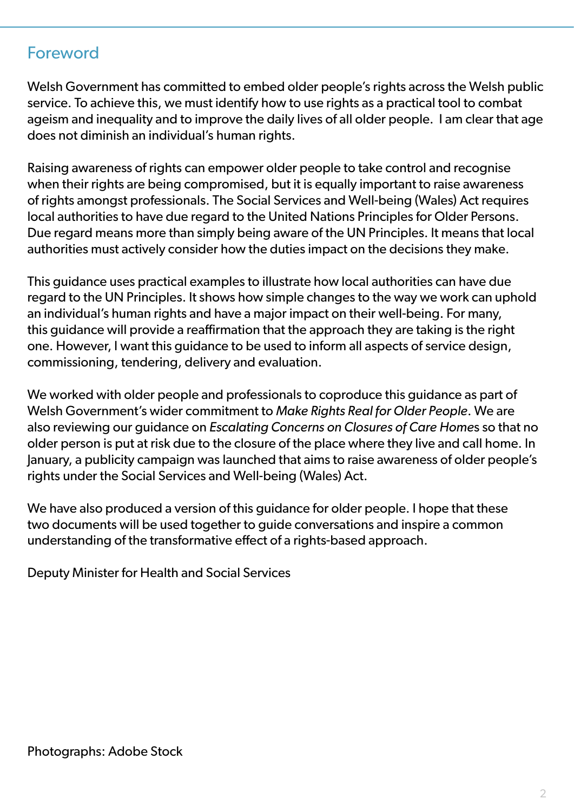## Foreword

Welsh Government has committed to embed older people's rights across the Welsh public service. To achieve this, we must identify how to use rights as a practical tool to combat ageism and inequality and to improve the daily lives of all older people. I am clear that age does not diminish an individual's human rights.

Raising awareness of rights can empower older people to take control and recognise when their rights are being compromised, but it is equally important to raise awareness of rights amongst professionals. The Social Services and Well-being (Wales) Act requires local authorities to have due regard to the United Nations Principles for Older Persons. Due regard means more than simply being aware of the UN Principles. It means that local authorities must actively consider how the duties impact on the decisions they make.

This guidance uses practical examples to illustrate how local authorities can have due regard to the UN Principles. It shows how simple changes to the way we work can uphold an individual's human rights and have a major impact on their well-being. For many, this guidance will provide a reaffirmation that the approach they are taking is the right one. However, I want this guidance to be used to inform all aspects of service design, commissioning, tendering, delivery and evaluation.

We worked with older people and professionals to coproduce this guidance as part of Welsh Government's wider commitment to *Make Rights Real for Older People*. We are also reviewing our guidance on *Escalating Concerns on Closures of Care Home*s so that no older person is put at risk due to the closure of the place where they live and call home. In January, a publicity campaign was launched that aims to raise awareness of older people's rights under the Social Services and Well-being (Wales) Act.

We have also produced a version of this guidance for older people. I hope that these two documents will be used together to guide conversations and inspire a common understanding of the transformative effect of a rights-based approach.

Deputy Minister for Health and Social Services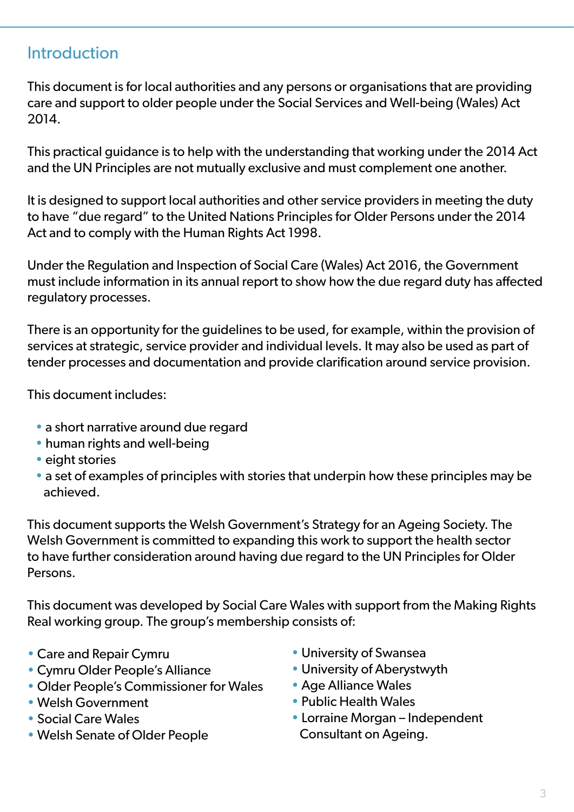## **Introduction**

This document is for local authorities and any persons or organisations that are providing care and support to older people under the Social Services and Well-being (Wales) Act 2014.

This practical guidance is to help with the understanding that working under the 2014 Act and the UN Principles are not mutually exclusive and must complement one another.

It is designed to support local authorities and other service providers in meeting the duty to have "due regard" to the United Nations Principles for Older Persons under the 2014 Act and to comply with the Human Rights Act 1998.

Under the Regulation and Inspection of Social Care (Wales) Act 2016, the Government must include information in its annual report to show how the due regard duty has affected regulatory processes.

There is an opportunity for the guidelines to be used, for example, within the provision of services at strategic, service provider and individual levels. It may also be used as part of tender processes and documentation and provide clarification around service provision.

This document includes:

- a short narrative around due regard
- human rights and well-being
- eight stories
- a set of examples of principles with stories that underpin how these principles may be achieved.

This document supports the Welsh Government's Strategy for an Ageing Society. The Welsh Government is committed to expanding this work to support the health sector to have further consideration around having due regard to the UN Principles for Older Persons.

This document was developed by Social Care Wales with support from the Making Rights Real working group. The group's membership consists of:

- Care and Repair Cymru
- Cymru Older People's Alliance
- Older People's Commissioner for Wales
- Welsh Government
- Social Care Wales
- Welsh Senate of Older People
- University of Swansea
- University of Aberystwyth
- Age Alliance Wales
- Public Health Wales
- Lorraine Morgan Independent Consultant on Ageing.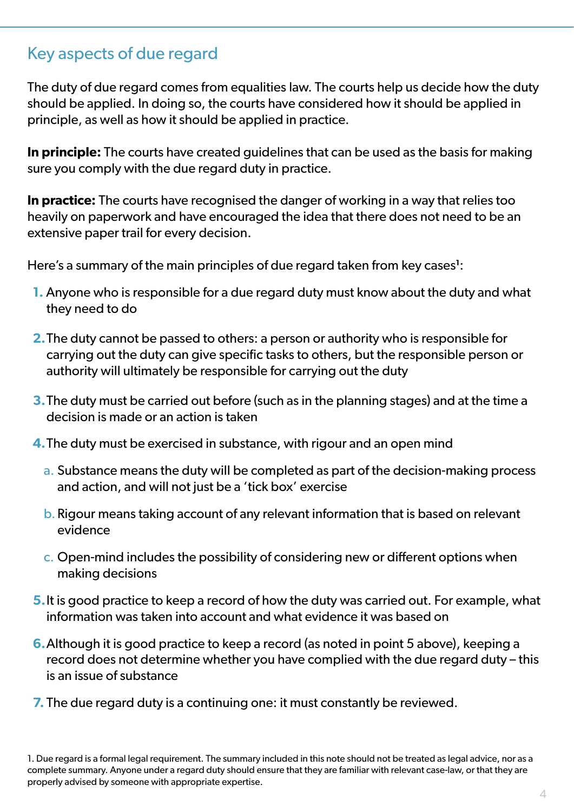## Key aspects of due regard

The duty of due regard comes from equalities law. The courts help us decide how the duty should be applied. In doing so, the courts have considered how it should be applied in principle, as well as how it should be applied in practice.

**In principle:** The courts have created guidelines that can be used as the basis for making sure you comply with the due regard duty in practice.

**In practice:** The courts have recognised the danger of working in a way that relies too heavily on paperwork and have encouraged the idea that there does not need to be an extensive paper trail for every decision.

Here's a summary of the main principles of due regard taken from key cases**<sup>1</sup>** :

- **1.** Anyone who is responsible for a due regard duty must know about the duty and what they need to do
- **2.**The duty cannot be passed to others: a person or authority who is responsible for carrying out the duty can give specific tasks to others, but the responsible person or authority will ultimately be responsible for carrying out the duty
- **3.**The duty must be carried out before (such as in the planning stages) and at the time a decision is made or an action is taken
- **4.**The duty must be exercised in substance, with rigour and an open mind
	- a. Substance means the duty will be completed as part of the decision-making process and action, and will not just be a 'tick box' exercise
	- b.Rigour means taking account of any relevant information that is based on relevant evidence
	- c. Open-mind includes the possibility of considering new or different options when making decisions
- **5.**It is good practice to keep a record of how the duty was carried out. For example, what information was taken into account and what evidence it was based on
- **6.**Although it is good practice to keep a record (as noted in point 5 above), keeping a record does not determine whether you have complied with the due regard duty – this is an issue of substance
- **7.** The due regard duty is a continuing one: it must constantly be reviewed.

<sup>1.</sup> Due regard is a formal legal requirement. The summary included in this note should not be treated as legal advice, nor as a complete summary. Anyone under a regard duty should ensure that they are familiar with relevant case-law, or that they are properly advised by someone with appropriate expertise.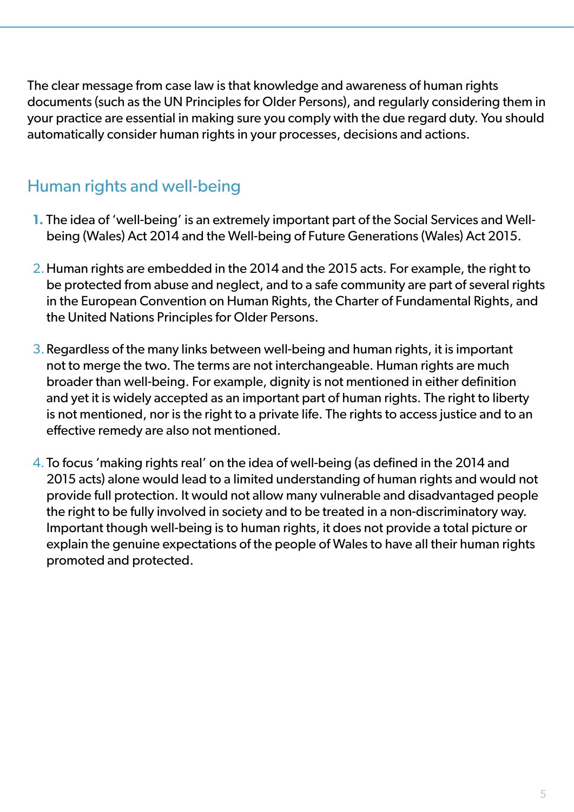The clear message from case law is that knowledge and awareness of human rights documents (such as the UN Principles for Older Persons), and regularly considering them in your practice are essential in making sure you comply with the due regard duty. You should automatically consider human rights in your processes, decisions and actions.

## Human rights and well-being

- **1.** The idea of 'well-being' is an extremely important part of the Social Services and Wellbeing (Wales) Act 2014 and the Well-being of Future Generations (Wales) Act 2015.
- 2.Human rights are embedded in the 2014 and the 2015 acts. For example, the right to be protected from abuse and neglect, and to a safe community are part of several rights in the European Convention on Human Rights, the Charter of Fundamental Rights, and the United Nations Principles for Older Persons.
- 3.Regardless of the many links between well-being and human rights, it is important not to merge the two. The terms are not interchangeable. Human rights are much broader than well-being. For example, dignity is not mentioned in either definition and yet it is widely accepted as an important part of human rights. The right to liberty is not mentioned, nor is the right to a private life. The rights to access justice and to an effective remedy are also not mentioned.
- 4.To focus 'making rights real' on the idea of well-being (as defined in the 2014 and 2015 acts) alone would lead to a limited understanding of human rights and would not provide full protection. It would not allow many vulnerable and disadvantaged people the right to be fully involved in society and to be treated in a non-discriminatory way. Important though well-being is to human rights, it does not provide a total picture or explain the genuine expectations of the people of Wales to have all their human rights promoted and protected.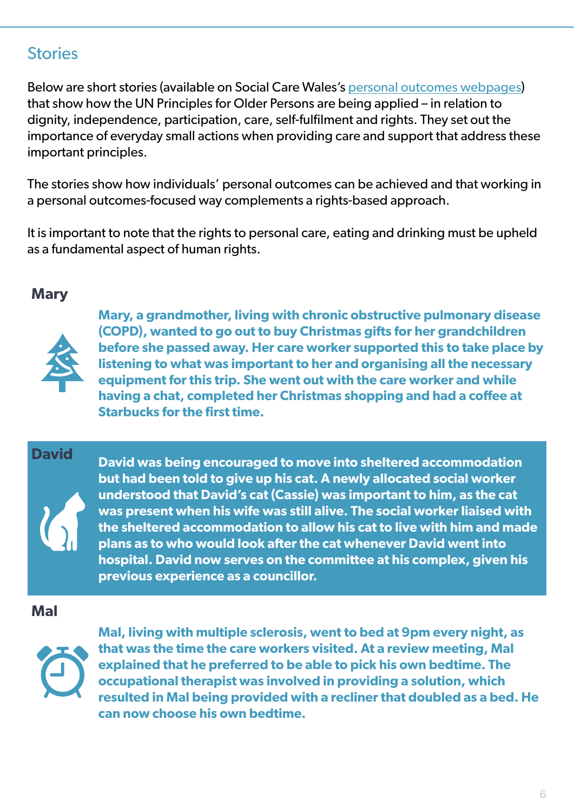## **Stories**

Below are short stories (available on Social Care Wales's [personal outcomes webpages\)](https://socialcare.wales/service-improvement/using-the-outcomes-approach) that show how the UN Principles for Older Persons are being applied – in relation to dignity, independence, participation, care, self-fulfilment and rights. They set out the importance of everyday small actions when providing care and support that address these important principles.

The stories show how individuals' personal outcomes can be achieved and that working in a personal outcomes-focused way complements a rights-based approach.

It is important to note that the rights to personal care, eating and drinking must be upheld as a fundamental aspect of human rights.

#### **Mary**



**Mary, a grandmother, living with chronic obstructive pulmonary disease (COPD), wanted to go out to buy Christmas gifts for her grandchildren before she passed away. Her care worker supported this to take place by listening to what was important to her and organising all the necessary equipment for this trip. She went out with the care worker and while having a chat, completed her Christmas shopping and had a coffee at Starbucks for the first time.** 

#### **David**

**David was being encouraged to move into sheltered accommodation but had been told to give up his cat. A newly allocated social worker understood that David's cat (Cassie) was important to him, as the cat was present when his wife was still alive. The social worker liaised with the sheltered accommodation to allow his cat to live with him and made plans as to who would look after the cat whenever David went into hospital. David now serves on the committee at his complex, given his previous experience as a councillor.**

#### **Mal**



**Mal, living with multiple sclerosis, went to bed at 9pm every night, as that was the time the care workers visited. At a review meeting, Mal explained that he preferred to be able to pick his own bedtime. The occupational therapist was involved in providing a solution, which resulted in Mal being provided with a recliner that doubled as a bed. He can now choose his own bedtime.**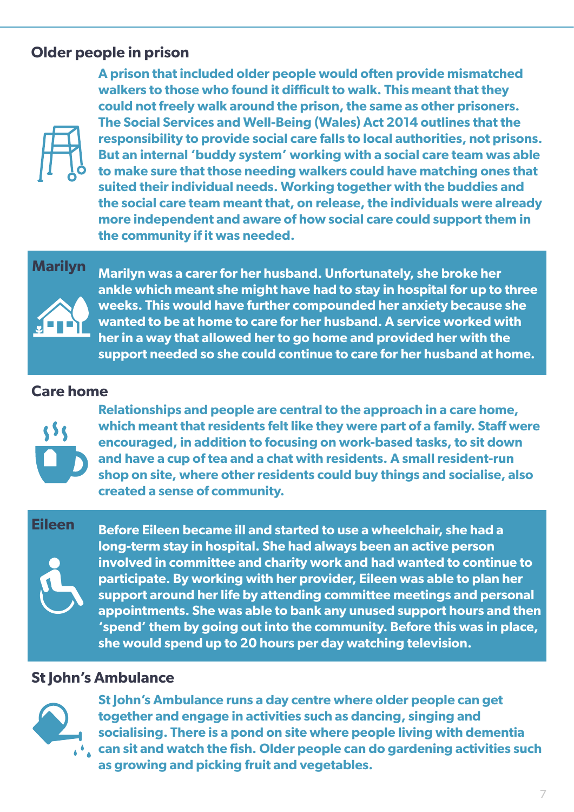## **Older people in prison**



**A prison that included older people would often provide mismatched walkers to those who found it difficult to walk. This meant that they could not freely walk around the prison, the same as other prisoners. The Social Services and Well-Being (Wales) Act 2014 outlines that the responsibility to provide social care falls to local authorities, not prisons. But an internal 'buddy system' working with a social care team was able to make sure that those needing walkers could have matching ones that suited their individual needs. Working together with the buddies and the social care team meant that, on release, the individuals were already more independent and aware of how social care could support them in the community if it was needed.**

#### **Marilyn**



**Marilyn was a carer for her husband. Unfortunately, she broke her ankle which meant she might have had to stay in hospital for up to three weeks. This would have further compounded her anxiety because she wanted to be at home to care for her husband. A service worked with her in a way that allowed her to go home and provided her with the support needed so she could continue to care for her husband at home.**

#### **Care home**



**Relationships and people are central to the approach in a care home, which meant that residents felt like they were part of a family. Staff were encouraged, in addition to focusing on work-based tasks, to sit down and have a cup of tea and a chat with residents. A small resident-run shop on site, where other residents could buy things and socialise, also created a sense of community.** 

#### **Eileen**



**Before Eileen became ill and started to use a wheelchair, she had a long-term stay in hospital. She had always been an active person involved in committee and charity work and had wanted to continue to participate. By working with her provider, Eileen was able to plan her support around her life by attending committee meetings and personal appointments. She was able to bank any unused support hours and then 'spend' them by going out into the community. Before this was in place, she would spend up to 20 hours per day watching television.**

#### **St John's Ambulance**



**St John's Ambulance runs a day centre where older people can get together and engage in activities such as dancing, singing and socialising. There is a pond on site where people living with dementia** 

**can sit and watch the fish. Older people can do gardening activities such as growing and picking fruit and vegetables.**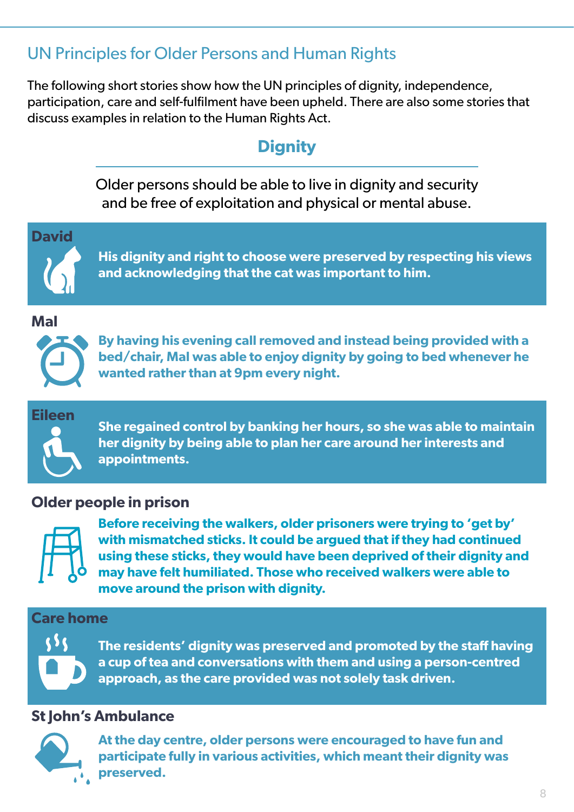## UN Principles for Older Persons and Human Rights

The following short stories show how the UN principles of dignity, independence, participation, care and self-fulfilment have been upheld. There are also some stories that discuss examples in relation to the Human Rights Act.

## **Dignity**

Older persons should be able to live in dignity and security and be free of exploitation and physical or mental abuse.



**His dignity and right to choose were preserved by respecting his views and acknowledging that the cat was important to him.**

#### **Mal**



**By having his evening call removed and instead being provided with a bed/chair, Mal was able to enjoy dignity by going to bed whenever he wanted rather than at 9pm every night.** 

# **Eileen**

**She regained control by banking her hours, so she was able to maintain her dignity by being able to plan her care around her interests and appointments.** 

#### **Older people in prison**



**Before receiving the walkers, older prisoners were trying to 'get by' with mismatched sticks. It could be argued that if they had continued using these sticks, they would have been deprived of their dignity and may have felt humiliated. Those who received walkers were able to move around the prison with dignity.**

#### **Care home**



**The residents' dignity was preserved and promoted by the staff having a cup of tea and conversations with them and using a person-centred approach, as the care provided was not solely task driven.**

#### **St John's Ambulance**



**At the day centre, older persons were encouraged to have fun and participate fully in various activities, which meant their dignity was preserved.**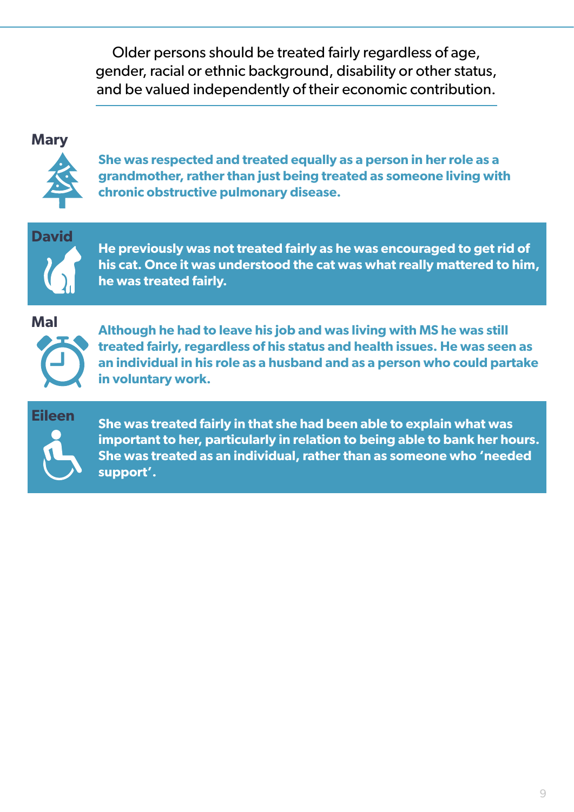Older persons should be treated fairly regardless of age, gender, racial or ethnic background, disability or other status, and be valued independently of their economic contribution.

#### **Mary**



**She was respected and treated equally as a person in her role as a grandmother, rather than just being treated as someone living with chronic obstructive pulmonary disease.** 

**David**

**He previously was not treated fairly as he was encouraged to get rid of his cat. Once it was understood the cat was what really mattered to him, he was treated fairly.**

**Mal**



**Although he had to leave his job and was living with MS he was still treated fairly, regardless of his status and health issues. He was seen as an individual in his role as a husband and as a person who could partake in voluntary work.**

**Eileen**

**She was treated fairly in that she had been able to explain what was important to her, particularly in relation to being able to bank her hours. She was treated as an individual, rather than as someone who 'needed support'.**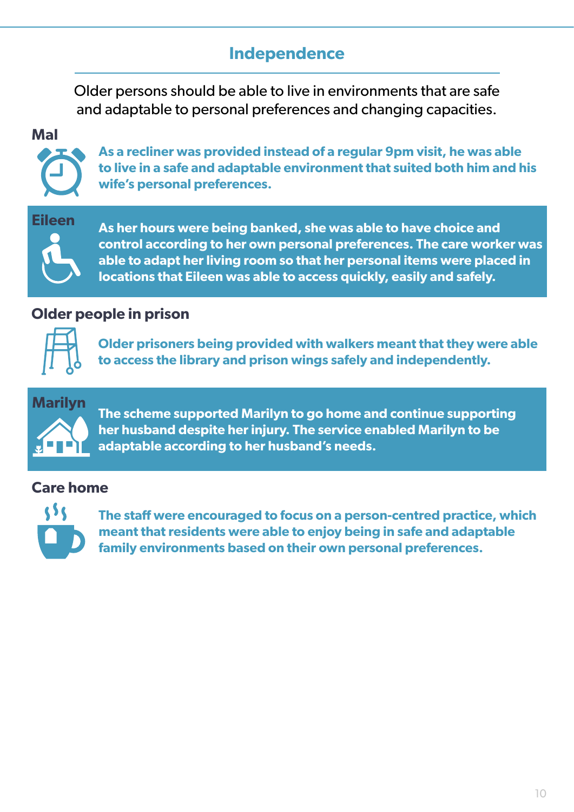## **Independence**

Older persons should be able to live in environments that are safe and adaptable to personal preferences and changing capacities.

**Mal**



**As a recliner was provided instead of a regular 9pm visit, he was able to live in a safe and adaptable environment that suited both him and his wife's personal preferences.**

**Eileen**

**As her hours were being banked, she was able to have choice and control according to her own personal preferences. The care worker was able to adapt her living room so that her personal items were placed in locations that Eileen was able to access quickly, easily and safely.**

### **Older people in prison**



**Older prisoners being provided with walkers meant that they were able to access the library and prison wings safely and independently.**



**The scheme supported Marilyn to go home and continue supporting her husband despite her injury. The service enabled Marilyn to be adaptable according to her husband's needs.**

#### **Care home**



**The staff were encouraged to focus on a person-centred practice, which meant that residents were able to enjoy being in safe and adaptable family environments based on their own personal preferences.**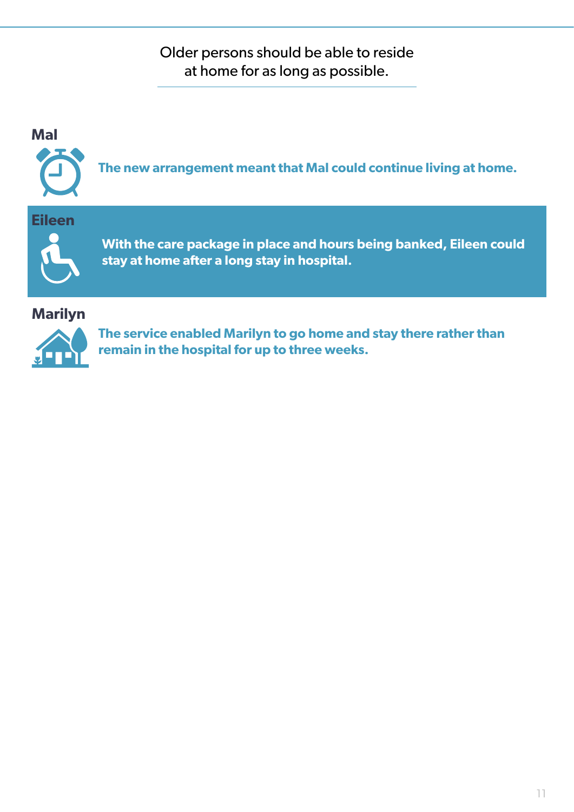Older persons should be able to reside at home for as long as possible.



**remain in the hospital for up to three weeks.**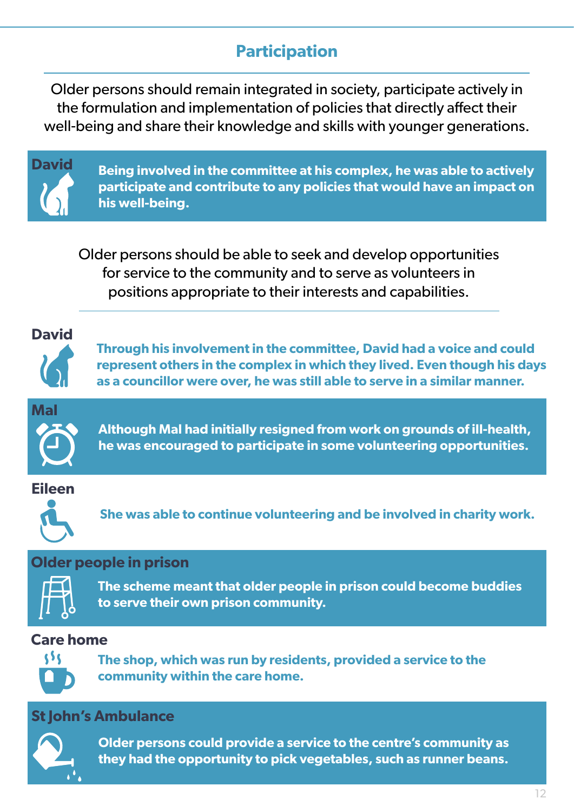## **Participation**

Older persons should remain integrated in society, participate actively in the formulation and implementation of policies that directly affect their well-being and share their knowledge and skills with younger generations.



**Being involved in the committee at his complex, he was able to actively participate and contribute to any policies that would have an impact on his well-being.**

Older persons should be able to seek and develop opportunities for service to the community and to serve as volunteers in positions appropriate to their interests and capabilities.



**Through his involvement in the committee, David had a voice and could represent others in the complex in which they lived. Even though his days as a councillor were over, he was still able to serve in a similar manner.**



**Although Mal had initially resigned from work on grounds of ill-health, he was encouraged to participate in some volunteering opportunities.**

#### **Eileen**



**She was able to continue volunteering and be involved in charity work.** 

#### **Older people in prison**



**The scheme meant that older people in prison could become buddies to serve their own prison community.**

## **Care home**



**The shop, which was run by residents, provided a service to the community within the care home.** 

## **St John's Ambulance**



**Older persons could provide a service to the centre's community as they had the opportunity to pick vegetables, such as runner beans.**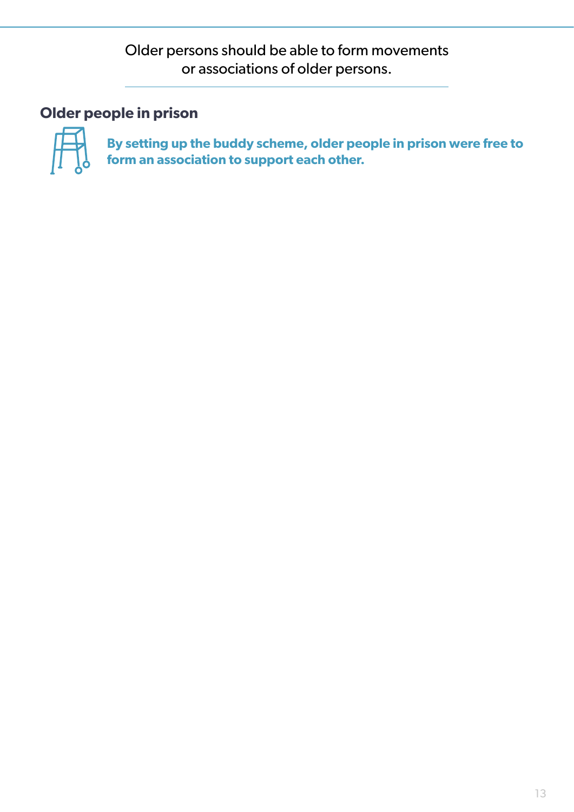Older persons should be able to form movements or associations of older persons.

## **Older people in prison**



**By setting up the buddy scheme, older people in prison were free to form an association to support each other.**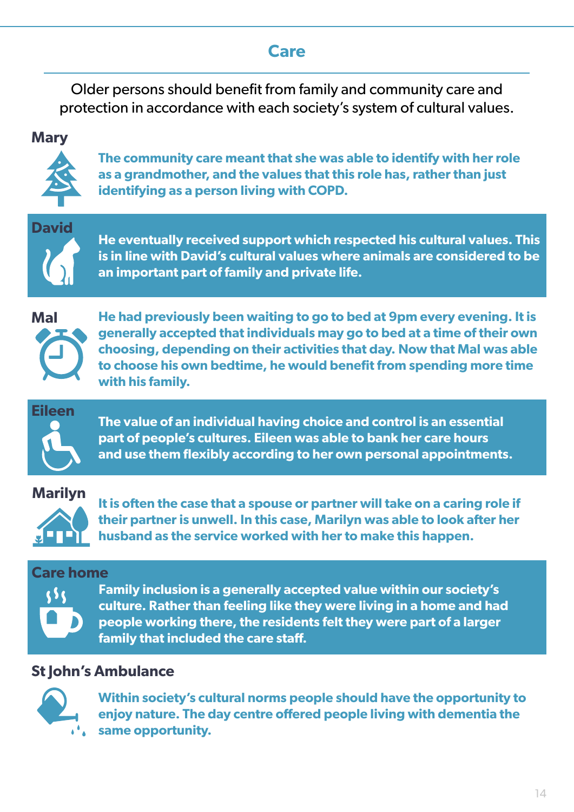## **Care**

Older persons should benefit from family and community care and protection in accordance with each society's system of cultural values.

#### **Mary**



**The community care meant that she was able to identify with her role as a grandmother, and the values that this role has, rather than just identifying as a person living with COPD.**

**David**

**He eventually received support which respected his cultural values. This is in line with David's cultural values where animals are considered to be an important part of family and private life.**



**He had previously been waiting to go to bed at 9pm every evening. It is generally accepted that individuals may go to bed at a time of their own choosing, depending on their activities that day. Now that Mal was able to choose his own bedtime, he would benefit from spending more time with his family.**



**The value of an individual having choice and control is an essential part of people's cultures. Eileen was able to bank her care hours and use them flexibly according to her own personal appointments.**

#### **Marilyn**



**It is often the case that a spouse or partner will take on a caring role if their partner is unwell. In this case, Marilyn was able to look after her husband as the service worked with her to make this happen.**

#### **Care home**



**Family inclusion is a generally accepted value within our society's culture. Rather than feeling like they were living in a home and had people working there, the residents felt they were part of a larger family that included the care staff.** 

#### **St John's Ambulance**



**Within society's cultural norms people should have the opportunity to enjoy nature. The day centre offered people living with dementia the same opportunity.**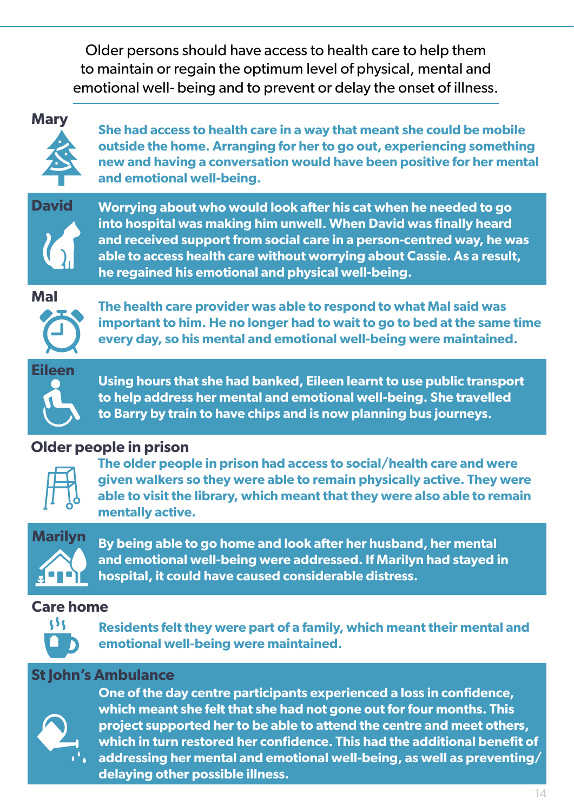Older persons should have access to health care to help them to maintain or regain the optimum level of physical, mental and emotional well- being and to prevent or delay the onset of illness.

#### **Mary**



**She had access to health care in a way that meant she could be mobile outside the home. Arranging for her to go out, experiencing something new and having a conversation would have been positive for her mental and emotional well-being.** 



**Worrying about who would look after his cat when he needed to go into hospital was making him unwell. When David was finally heard and received support from social care in a person-centred way, he was able to access health care without worrying about Cassie. As a result, he regained his emotional and physical well-being.**

**Mal**



**The health care provider was able to respond to what Mal said was important to him. He no longer had to wait to go to bed at the same time every day, so his mental and emotional well-being were maintained.**



**Using hours that she had banked, Eileen learnt to use public transport to help address her mental and emotional well-being. She travelled to Barry by train to have chips and is now planning bus journeys.**

#### **Older people in prison**



**The older people in prison had access to social/health care and were given walkers so they were able to remain physically active. They were able to visit the library, which meant that they were also able to remain mentally active.** 



**By being able to go home and look after her husband, her mental and emotional well-being were addressed. If Marilyn had stayed in hospital, it could have caused considerable distress.**

#### **Care home**



**Residents felt they were part of a family, which meant their mental and emotional well-being were maintained.** 

#### **St John's Ambulance**



**One of the day centre participants experienced a loss in confidence, which meant she felt that she had not gone out for four months. This project supported her to be able to attend the centre and meet others, which in turn restored her confidence. This had the additional benefit of addressing her mental and emotional well-being, as well as preventing/ delaying other possible illness.**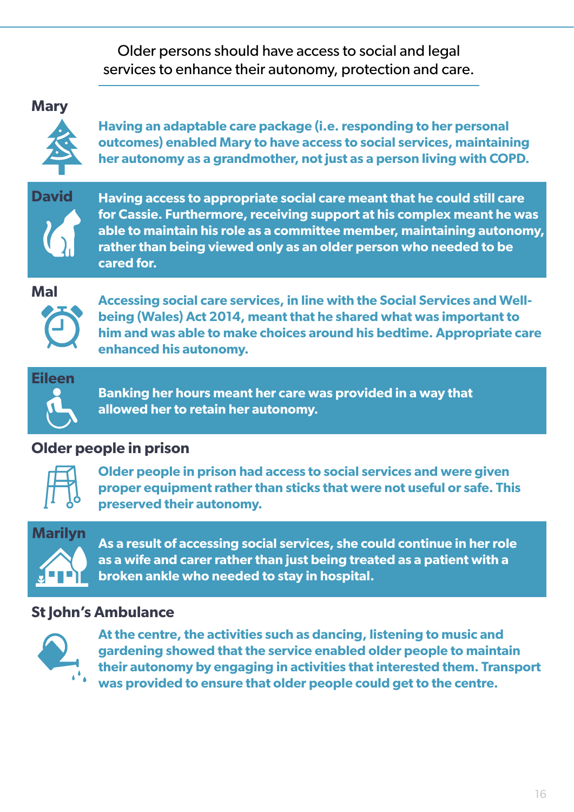Older persons should have access to social and legal services to enhance their autonomy, protection and care.

#### **Mary**



**Having an adaptable care package (i.e. responding to her personal outcomes) enabled Mary to have access to social services, maintaining her autonomy as a grandmother, not just as a person living with COPD.**



**Having access to appropriate social care meant that he could still care for Cassie. Furthermore, receiving support at his complex meant he was able to maintain his role as a committee member, maintaining autonomy, rather than being viewed only as an older person who needed to be cared for.** 

**Mal**



**Accessing social care services, in line with the Social Services and Wellbeing (Wales) Act 2014, meant that he shared what was important to him and was able to make choices around his bedtime. Appropriate care enhanced his autonomy.**

## **Eileen**

**Banking her hours meant her care was provided in a way that allowed her to retain her autonomy.**

## **Older people in prison**



**Older people in prison had access to social services and were given proper equipment rather than sticks that were not useful or safe. This preserved their autonomy.**

# **Marilyn**

**As a result of accessing social services, she could continue in her role as a wife and carer rather than just being treated as a patient with a broken ankle who needed to stay in hospital.**

## **St John's Ambulance**



**At the centre, the activities such as dancing, listening to music and gardening showed that the service enabled older people to maintain their autonomy by engaging in activities that interested them. Transport was provided to ensure that older people could get to the centre.**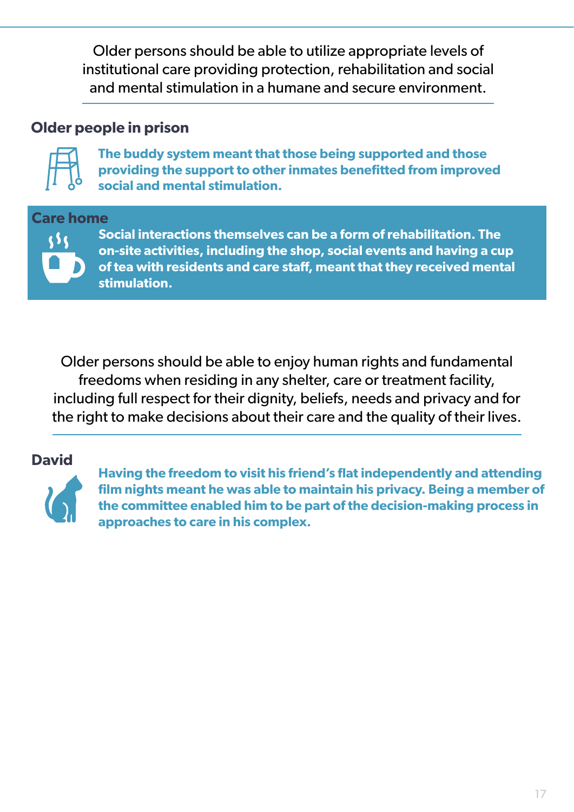Older persons should be able to utilize appropriate levels of institutional care providing protection, rehabilitation and social and mental stimulation in a humane and secure environment.

### **Older people in prison**



**The buddy system meant that those being supported and those providing the support to other inmates benefitted from improved social and mental stimulation.**

#### **Care home**



**Social interactions themselves can be a form of rehabilitation. The on-site activities, including the shop, social events and having a cup of tea with residents and care staff, meant that they received mental stimulation.** 

Older persons should be able to enjoy human rights and fundamental freedoms when residing in any shelter, care or treatment facility, including full respect for their dignity, beliefs, needs and privacy and for the right to make decisions about their care and the quality of their lives.

#### **David**



**Having the freedom to visit his friend's flat independently and attending film nights meant he was able to maintain his privacy. Being a member of the committee enabled him to be part of the decision-making process in approaches to care in his complex.**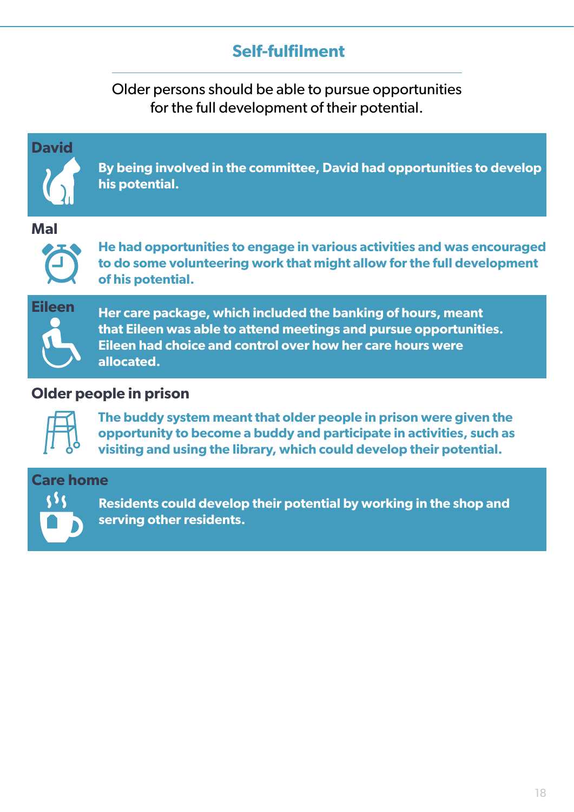## **Self-fulfilment**

Older persons should be able to pursue opportunities for the full development of their potential.



#### **Older people in prison**



**The buddy system meant that older people in prison were given the opportunity to become a buddy and participate in activities, such as visiting and using the library, which could develop their potential.**

#### **Care home**



**Residents could develop their potential by working in the shop and serving other residents.**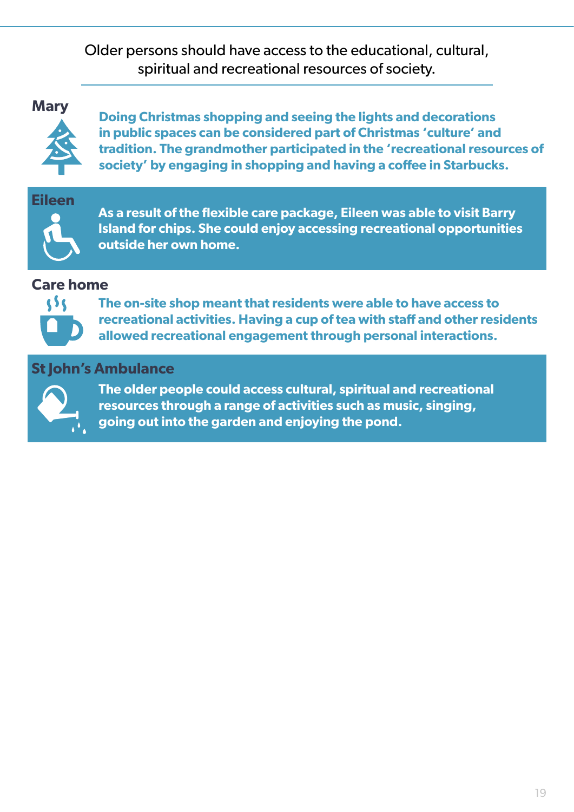Older persons should have access to the educational, cultural, spiritual and recreational resources of society.

**Mary**



**Doing Christmas shopping and seeing the lights and decorations in public spaces can be considered part of Christmas 'culture' and tradition. The grandmother participated in the 'recreational resources of society' by engaging in shopping and having a coffee in Starbucks.**



**As a result of the flexible care package, Eileen was able to visit Barry Island for chips. She could enjoy accessing recreational opportunities outside her own home.**

#### **Care home**



**The on-site shop meant that residents were able to have access to recreational activities. Having a cup of tea with staff and other residents allowed recreational engagement through personal interactions.** 

#### **St John's Ambulance**



**The older people could access cultural, spiritual and recreational resources through a range of activities such as music, singing, going out into the garden and enjoying the pond.**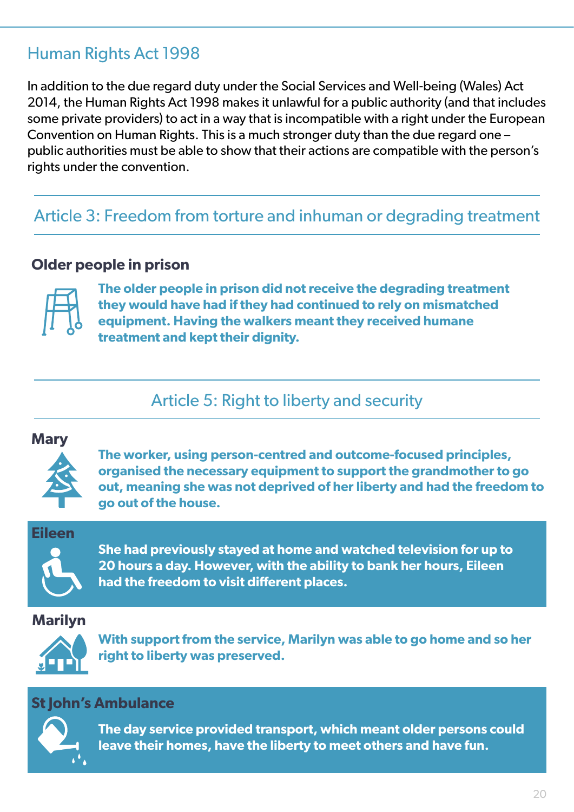## Human Rights Act 1998

In addition to the due regard duty under the Social Services and Well-being (Wales) Act 2014, the Human Rights Act 1998 makes it unlawful for a public authority (and that includes some private providers) to act in a way that is incompatible with a right under the European Convention on Human Rights. This is a much stronger duty than the due regard one – public authorities must be able to show that their actions are compatible with the person's rights under the convention.

## Article 3: Freedom from torture and inhuman or degrading treatment

#### **Older people in prison**



**The older people in prison did not receive the degrading treatment they would have had if they had continued to rely on mismatched equipment. Having the walkers meant they received humane treatment and kept their dignity.**

Article 5: Right to liberty and security

#### **Mary**



**The worker, using person-centred and outcome-focused principles, organised the necessary equipment to support the grandmother to go out, meaning she was not deprived of her liberty and had the freedom to go out of the house.**

**Eileen**



**She had previously stayed at home and watched television for up to 20 hours a day. However, with the ability to bank her hours, Eileen had the freedom to visit different places.**

**Marilyn**



**With support from the service, Marilyn was able to go home and so her right to liberty was preserved.**

#### **St John's Ambulance**



**The day service provided transport, which meant older persons could leave their homes, have the liberty to meet others and have fun.**